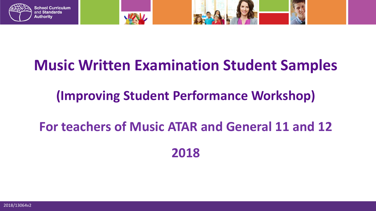

## **Music Written Examination Student Samples**

#### **(Improving Student Performance Workshop)**

# **For teachers of Music ATAR and General 11 and 12**

**2018**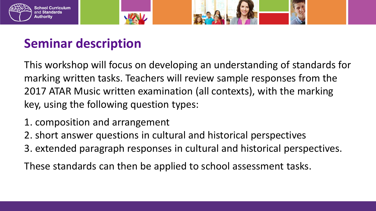

#### **Seminar description**

This workshop will focus on developing an understanding of standards for marking written tasks. Teachers will review sample responses from the 2017 ATAR Music written examination (all contexts), with the marking key, using the following question types:

- 1. composition and arrangement
- 2. short answer questions in cultural and historical perspectives
- 3. extended paragraph responses in cultural and historical perspectives.

These standards can then be applied to school assessment tasks.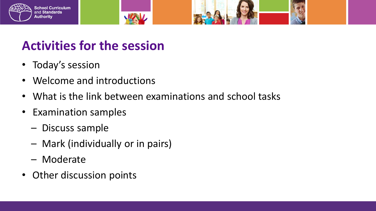

#### **Activities for the session**

- Today's session
- Welcome and introductions
- What is the link between examinations and school tasks

WAV

- Examination samples
	- Discuss sample
	- Mark (individually or in pairs)
	- Moderate
- Other discussion points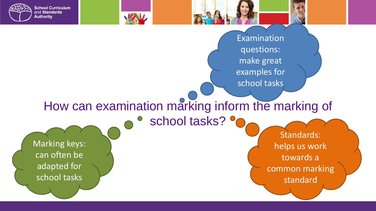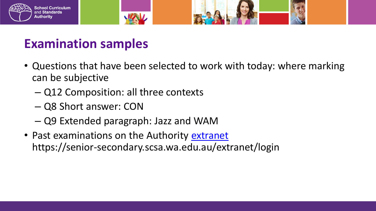



#### **Examination samples**

- Questions that have been selected to work with today: where marking can be subjective
	- Q12 Composition: all three contexts
	- Q8 Short answer: CON
	- Q9 Extended paragraph: Jazz and WAM
- Past examinations on the Authority [extranet](https://senior-secondary.scsa.wa.edu.au/extranet/login) https://senior-secondary.scsa.wa.edu.au/extranet/login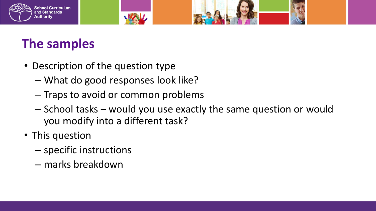

#### **The samples**

- Description of the question type
	- What do good responses look like?
	- Traps to avoid or common problems

WW

- School tasks would you use exactly the same question or would you modify into a different task?
- This question
	- specific instructions
	- marks breakdown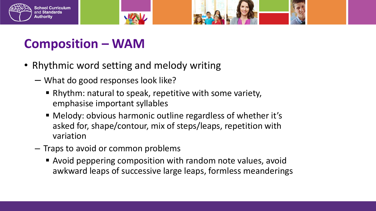

- Rhythmic word setting and melody writing
	- What do good responses look like?
		- Rhythm: natural to speak, repetitive with some variety, emphasise important syllables
		- Melody: obvious harmonic outline regardless of whether it's asked for, shape/contour, mix of steps/leaps, repetition with variation
	- Traps to avoid or common problems
		- Avoid peppering composition with random note values, avoid awkward leaps of successive large leaps, formless meanderings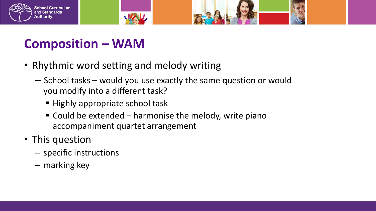

• Rhythmic word setting and melody writing

**WAV** 

- School tasks would you use exactly the same question or would you modify into a different task?
	- Highly appropriate school task
	- $\blacksquare$  Could be extended harmonise the melody, write piano accompaniment quartet arrangement
- This question
	- specific instructions
	- marking key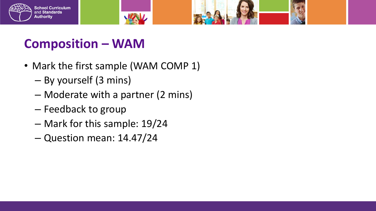

• Mark the first sample (WAM COMP 1)

WAV

- By yourself (3 mins)
- Moderate with a partner (2 mins)
- Feedback to group
- Mark for this sample: 19/24
- Question mean: 14.47/24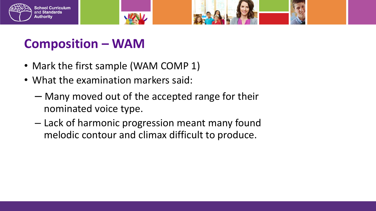

- Mark the first sample (WAM COMP 1)
- What the examination markers said:
	- Many moved out of the accepted range for their nominated voice type.
	- Lack of harmonic progression meant many found melodic contour and climax difficult to produce.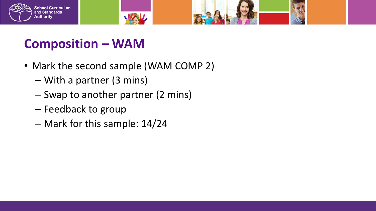

• Mark the second sample (WAM COMP 2)

**MAN** 

- With a partner (3 mins)
- Swap to another partner (2 mins)
- Feedback to group
- Mark for this sample: 14/24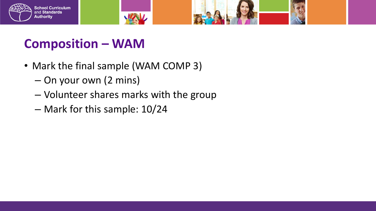



- Mark the final sample (WAM COMP 3)
	- On your own (2 mins)
	- Volunteer shares marks with the group

WW

– Mark for this sample: 10/24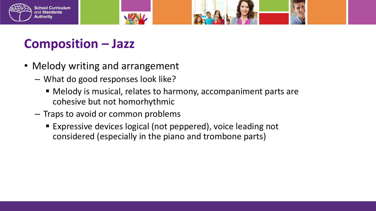

- Melody writing and arrangement
	- What do good responses look like?
		- Melody is musical, relates to harmony, accompaniment parts are cohesive but not homorhythmic
	- Traps to avoid or common problems
		- Expressive devices logical (not peppered), voice leading not considered (especially in the piano and trombone parts)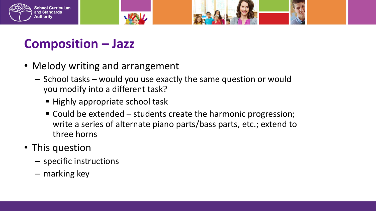

- Melody writing and arrangement
	- School tasks would you use exactly the same question or would you modify into a different task?
		- **Highly appropriate school task**
		- Could be extended students create the harmonic progression; write a series of alternate piano parts/bass parts, etc.; extend to three horns
- This question
	- specific instructions
	- marking key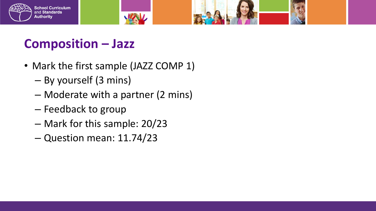

• Mark the first sample (JAZZ COMP 1)

**WAV** 

- By yourself (3 mins)
- Moderate with a partner (2 mins)
- Feedback to group
- Mark for this sample: 20/23
- Question mean: 11.74/23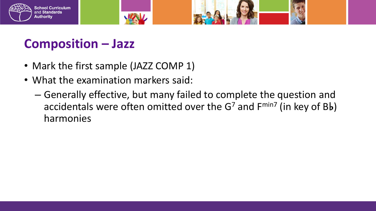



- Mark the first sample (JAZZ COMP 1)
- What the examination markers said:
	- Generally effective, but many failed to complete the question and accidentals were often omitted over the  $G<sup>7</sup>$  and  $F<sup>min7</sup>$  (in key of Bb) harmonies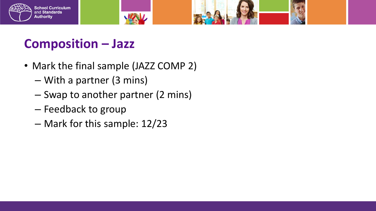

- Mark the final sample (JAZZ COMP 2)
	- With a partner (3 mins)
	- Swap to another partner (2 mins)
	- Feedback to group
	- Mark for this sample: 12/23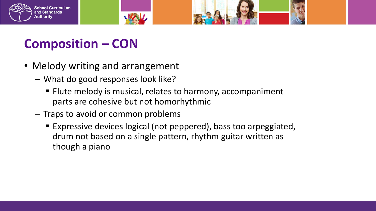



- Melody writing and arrangement
	- What do good responses look like?
		- **Filute melody is musical, relates to harmony, accompaniment** parts are cohesive but not homorhythmic
	- Traps to avoid or common problems
		- Expressive devices logical (not peppered), bass too arpeggiated, drum not based on a single pattern, rhythm guitar written as though a piano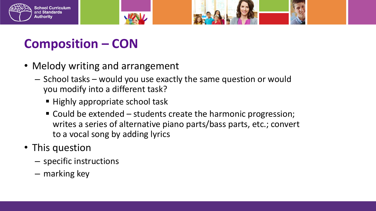

- Melody writing and arrangement
	- School tasks would you use exactly the same question or would you modify into a different task?
		- Highly appropriate school task
		- Could be extended students create the harmonic progression; writes a series of alternative piano parts/bass parts, etc.; convert to a vocal song by adding lyrics
- This question
	- specific instructions
	- marking key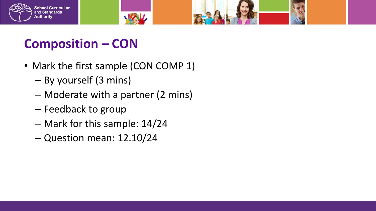

• Mark the first sample (CON COMP 1)

**MAN** 

- By yourself (3 mins)
- Moderate with a partner (2 mins)
- Feedback to group
- Mark for this sample: 14/24
- Question mean: 12.10/24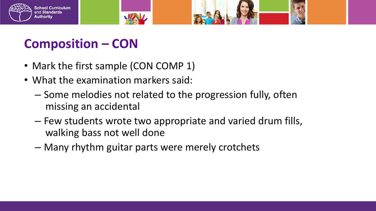

- Mark the first sample (CON COMP 1)
- What the examination markers said:
	- Some melodies not related to the progression fully, often missing an accidental
	- Few students wrote two appropriate and varied drum fills, walking bass not well done
	- Many rhythm guitar parts were merely crotchets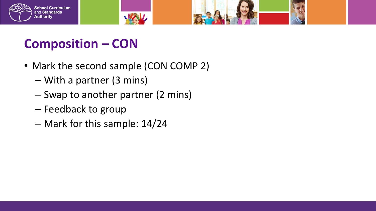

• Mark the second sample (CON COMP 2)

WW

- With a partner (3 mins)
- Swap to another partner (2 mins)
- Feedback to group
- Mark for this sample: 14/24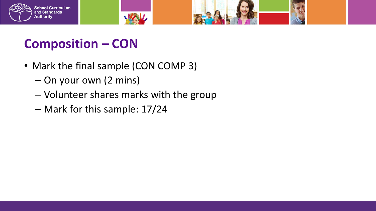

- Mark the final sample (CON COMP 3)
	- On your own (2 mins)
	- Volunteer shares marks with the group

**MAN** 

– Mark for this sample: 17/24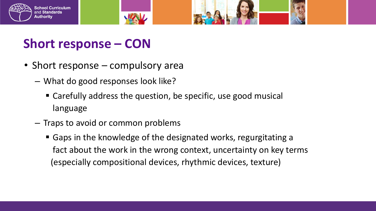

- Short response compulsory area
	- What do good responses look like?
		- Carefully address the question, be specific, use good musical language
	- Traps to avoid or common problems
		- Gaps in the knowledge of the designated works, regurgitating a fact about the work in the wrong context, uncertainty on key terms (especially compositional devices, rhythmic devices, texture)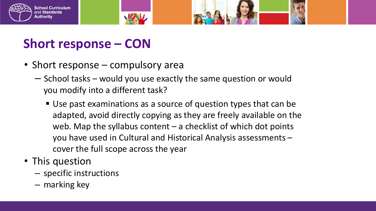





• Short response – compulsory area

**MAN** 

- School tasks would you use exactly the same question or would you modify into a different task?
	- Use past examinations as a source of question types that can be adapted, avoid directly copying as they are freely available on the web. Map the syllabus content  $-$  a checklist of which dot points you have used in Cultural and Historical Analysis assessments – cover the full scope across the year
- This question
	- specific instructions
	- marking key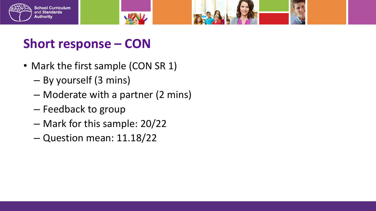

- Mark the first sample (CON SR 1)
	- By yourself (3 mins)
	- Moderate with a partner (2 mins)

WAV

- Feedback to group
- Mark for this sample: 20/22
- Question mean: 11.18/22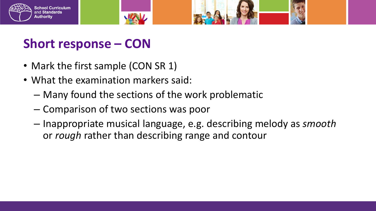

- Mark the first sample (CON SR 1)
- What the examination markers said:
	- Many found the sections of the work problematic
	- Comparison of two sections was poor
	- Inappropriate musical language, e.g. describing melody as *smooth* or *rough* rather than describing range and contour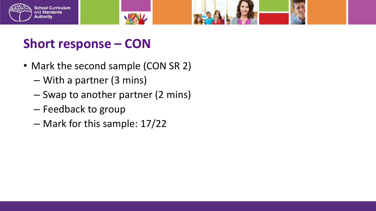

• Mark the second sample (CON SR 2)

**MAN** 

- With a partner (3 mins)
- Swap to another partner (2 mins)
- Feedback to group
- Mark for this sample: 17/22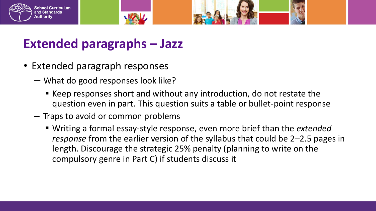

- Extended paragraph responses
	- What do good responses look like?
		- Keep responses short and without any introduction, do not restate the question even in part. This question suits a table or bullet-point response
	- Traps to avoid or common problems
		- Writing a formal essay-style response, even more brief than the *extended response* from the earlier version of the syllabus that could be 2–2.5 pages in length. Discourage the strategic 25% penalty (planning to write on the compulsory genre in Part C) if students discuss it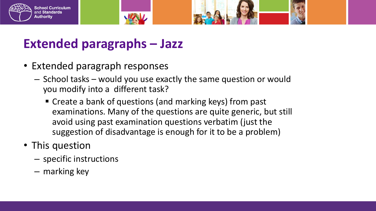

- Extended paragraph responses
	- School tasks would you use exactly the same question or would you modify into a different task?
		- Create a bank of questions (and marking keys) from past examinations. Many of the questions are quite generic, but still avoid using past examination questions verbatim (just the suggestion of disadvantage is enough for it to be a problem)
- This question
	- specific instructions
	- marking key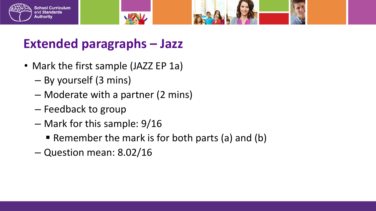

#### School Curriculum and Standards **Authority**

- Mark the first sample (JAZZ EP 1a)
	- By yourself (3 mins)
	- Moderate with a partner (2 mins)
	- Feedback to group
	- Mark for this sample: 9/16
		- Remember the mark is for both parts (a) and (b)
	- Question mean: 8.02/16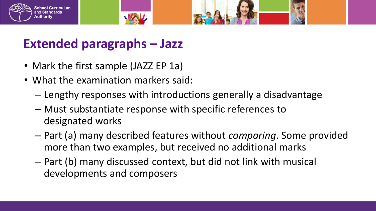

- Mark the first sample (JAZZ EP 1a)
- What the examination markers said:
	- Lengthy responses with introductions generally a disadvantage
	- Must substantiate response with specific references to designated works
	- Part (a) many described features without *comparing*. Some provided more than two examples, but received no additional marks
	- Part (b) many discussed context, but did not link with musical developments and composers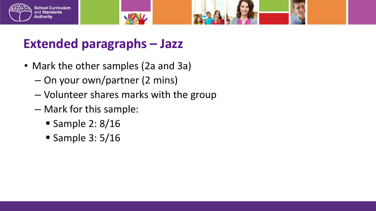



#### **Extended paragraphs – Jazz**

- Mark the other samples (2a and 3a)
	- On your own/partner (2 mins)
	- Volunteer shares marks with the group

**MAN** 

- Mark for this sample:
	- Sample 2:  $8/16$
	- Sample  $3:5/16$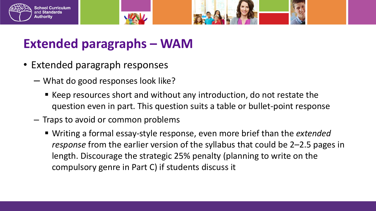

- Extended paragraph responses
	- What do good responses look like?
		- Keep resources short and without any introduction, do not restate the question even in part. This question suits a table or bullet-point response
	- Traps to avoid or common problems
		- Writing a formal essay-style response, even more brief than the *extended response* from the earlier version of the syllabus that could be 2–2.5 pages in length. Discourage the strategic 25% penalty (planning to write on the compulsory genre in Part C) if students discuss it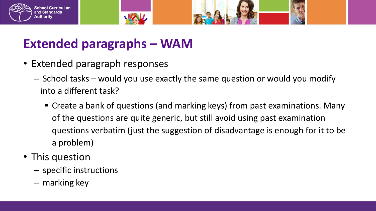

- Extended paragraph responses
	- School tasks would you use exactly the same question or would you modify into a different task?
		- Create a bank of questions (and marking keys) from past examinations. Many of the questions are quite generic, but still avoid using past examination questions verbatim (just the suggestion of disadvantage is enough for it to be a problem)
- This question
	- specific instructions
	- marking key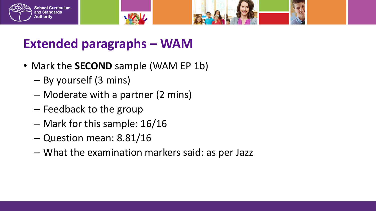

- Mark the **SECOND** sample (WAM EP 1b)
	- By yourself (3 mins)
	- Moderate with a partner (2 mins)
	- Feedback to the group
	- Mark for this sample: 16/16
	- Question mean: 8.81/16
	- What the examination markers said: as per Jazz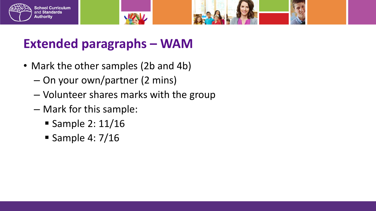



- Mark the other samples (2b and 4b)
	- On your own/partner (2 mins)
	- Volunteer shares marks with the group

**MAN** 

- Mark for this sample:
	- **Sample 2: 11/16**
	- Sample 4:  $7/16$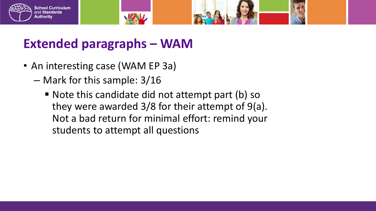

- An interesting case (WAM EP 3a)
	- Mark for this sample: 3/16
		- Note this candidate did not attempt part (b) so they were awarded 3/8 for their attempt of 9(a). Not a bad return for minimal effort: remind your students to attempt all questions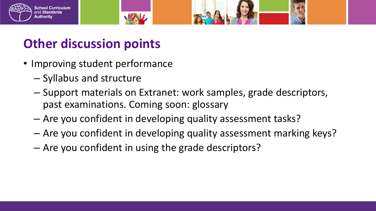



#### **Other discussion points**

- Improving student performance
	- Syllabus and structure
	- Support materials on Extranet: work samples, grade descriptors, past examinations. Coming soon: glossary
	- Are you confident in developing quality assessment tasks?
	- Are you confident in developing quality assessment marking keys?
	- Are you confident in using the grade descriptors?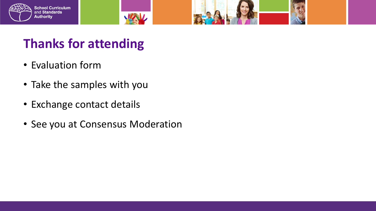



### **Thanks for attending**

- Evaluation form
- Take the samples with you
- Exchange contact details
- See you at Consensus Moderation

WAV